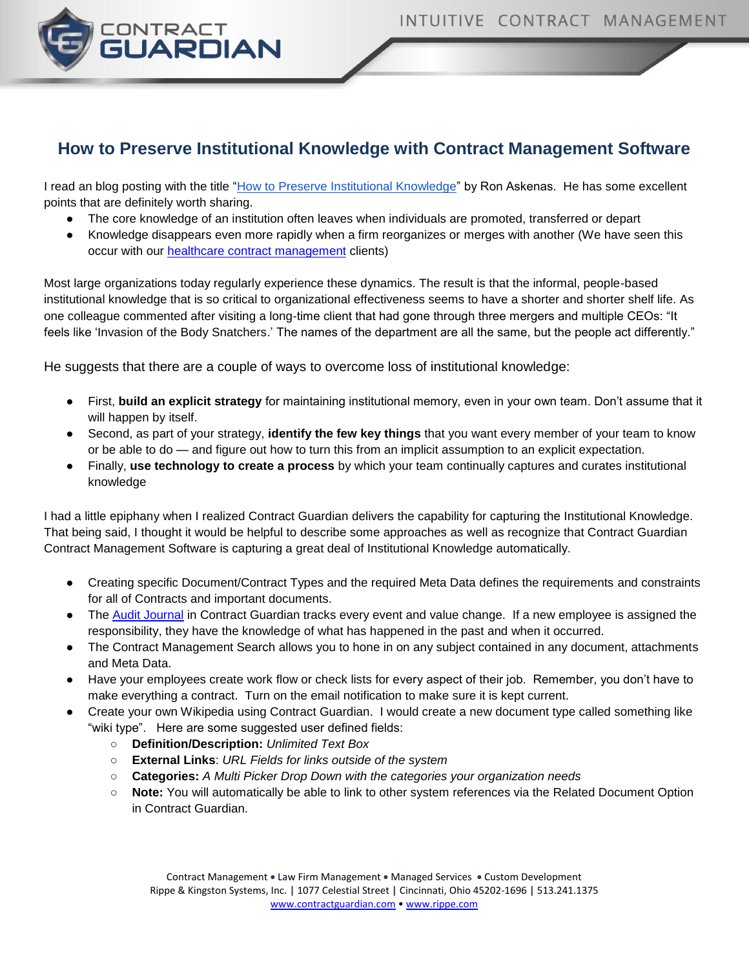

## **How to Preserve Institutional Knowledge with Contract Management Software**

I read an blog posting with the title ["How to Preserve Institutional Knowledge"](http://blogs.hbr.org/2013/03/how-to-preserve-institutional/) by Ron Askenas. He has some excellent points that are definitely worth sharing.

- The core knowledge of an institution often leaves when individuals are promoted, transferred or depart
- Knowledge disappears even more rapidly when a firm reorganizes or [merges with another](http://blogs.hbr.org/ashkenas/2013/02/are-you-really-ready-for-an-ac.html) (We have seen this occur with our [healthcare contract management](http://www.contractguardian.com/healthcare_contract_management.html) clients)

Most large organizations today regularly experience these dynamics. The result is that the informal, people-based institutional knowledge that is so critical to organizational effectiveness seems to have a shorter and shorter shelf life. As one colleague commented after visiting a long-time client that had gone through three mergers and multiple CEOs: "It feels like ['Invasion of the Body Snatchers.](http://en.wikipedia.org/wiki/Invasion_of_the_Body_Snatchers)' The names of the department are all the same, but the people act differently."

He suggests that there are a couple of ways to overcome loss of institutional knowledge:

- First, **build an explicit strategy** for maintaining institutional memory, even in your own team. Don't assume that it will happen by itself.
- Second, as part of your strategy, **identify the few key things** that you want every member of your team to know or be able to do — and figure out how to turn this from an implicit assumption to an explicit expectation.
- Finally, **use technology to create a process** by which your team continually captures and curates institutional knowledge

I had a little epiphany when I realized Contract Guardian delivers the capability for capturing the Institutional Knowledge. That being said, I thought it would be helpful to describe some approaches as well as recognize that Contract Guardian Contract Management Software is capturing a great deal of Institutional Knowledge automatically.

- Creating specific Document/Contract Types and the required Meta Data defines the requirements and constraints for all of Contracts and important documents.
- The [Audit Journal](http://www.contractguardian.com/audit-journal.html) in Contract Guardian tracks every event and value change. If a new employee is assigned the responsibility, they have the knowledge of what has happened in the past and when it occurred.
- The Contract Management Search allows you to hone in on any subject contained in any document, attachments and Meta Data.
- Have your employees create work flow or check lists for every aspect of their job. Remember, you don't have to make everything a contract. Turn on the email notification to make sure it is kept current.
- Create your own Wikipedia using Contract Guardian. I would create a new document type called something like "wiki type". Here are some suggested user defined fields:
	- **Definition/Description:** *Unlimited Text Box*
	- **External Links**: *URL Fields for links outside of the system*
	- **Categories:** *A Multi Picker Drop Down with the categories your organization needs*
	- **Note:** You will automatically be able to link to other system references via the Related Document Option in Contract Guardian.